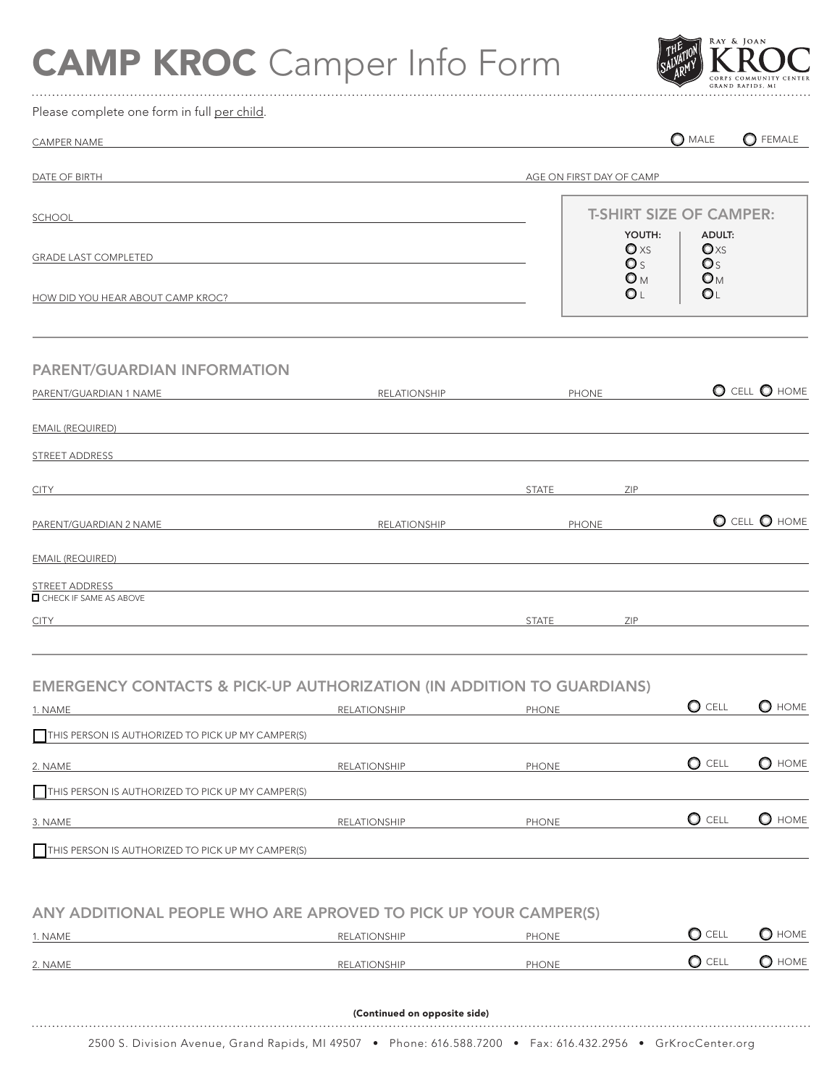# CAMP KROC Camper Info Form



| Please complete one form in full per child.                                                                                          |                                  |                          |                                                           |                               |                 |
|--------------------------------------------------------------------------------------------------------------------------------------|----------------------------------|--------------------------|-----------------------------------------------------------|-------------------------------|-----------------|
| <b>CAMPER NAME</b>                                                                                                                   |                                  |                          |                                                           | <b>O</b> MALE                 | <b>O</b> FEMALE |
| DATE OF BIRTH                                                                                                                        |                                  | AGE ON FIRST DAY OF CAMP |                                                           |                               |                 |
| <b>SCHOOL</b>                                                                                                                        |                                  |                          | <b>T-SHIRT SIZE OF CAMPER:</b><br>YOUTH:<br><b>ADULT:</b> |                               |                 |
| <b>GRADE LAST COMPLETED</b>                                                                                                          |                                  |                          | $\mathbf{O} \times S$<br>O <sub>S</sub><br>$O_{M}$        | $O\times S$<br>$\mathbf{O}_S$ |                 |
| HOW DID YOU HEAR ABOUT CAMP KROC?                                                                                                    |                                  |                          | OL                                                        | $O_{M}$<br>OL                 |                 |
| <b>PARENT/GUARDIAN INFORMATION</b>                                                                                                   |                                  |                          |                                                           |                               |                 |
| PARENT/GUARDIAN 1 NAME                                                                                                               | <b>RELATIONSHIP</b>              | PHONE                    |                                                           |                               | O CELL O HOME   |
| <b>EMAIL (REQUIRED)</b>                                                                                                              |                                  |                          |                                                           |                               |                 |
| <b>STREET ADDRESS</b>                                                                                                                |                                  |                          |                                                           |                               |                 |
| <b>CITY</b>                                                                                                                          |                                  | <b>STATE</b>             | ZIP                                                       |                               |                 |
| PARENT/GUARDIAN 2 NAME                                                                                                               | <b>EXAMPLE 2018 RELATIONSHIP</b> | PHONE                    |                                                           |                               | O CELL O HOME   |
| <b>EMAIL (REQUIRED)</b>                                                                                                              |                                  |                          |                                                           |                               |                 |
| STREET ADDRESS<br>CHECK IF SAME AS ABOVE                                                                                             |                                  |                          |                                                           |                               |                 |
| <u> 1980 - Jan Sterling von Berling von Berling von Berling von Berling von Berling von Berling von Berling von B</u><br><b>CITY</b> |                                  | <b>STATE</b>             | ZIP                                                       |                               |                 |
| <b>EMERGENCY CONTACTS &amp; PICK-UP AUTHORIZATION (IN ADDITION TO GUARDIANS)</b>                                                     |                                  |                          |                                                           |                               |                 |
| 1. NAME                                                                                                                              | <b>RELATIONSHIP</b>              | <b>PHONE</b>             |                                                           |                               | O CELL O HOME   |
| THIS PERSON IS AUTHORIZED TO PICK UP MY CAMPER(S)                                                                                    |                                  |                          |                                                           |                               |                 |
| 2. NAME                                                                                                                              | RELATIONSHIP                     | <b>PHONE</b>             |                                                           | $\bullet$ CELL                | O HOME          |
| THIS PERSON IS AUTHORIZED TO PICK UP MY CAMPER(S)                                                                                    |                                  |                          |                                                           |                               |                 |
| 3. NAME                                                                                                                              | RELATIONSHIP                     | <b>PHONE</b>             |                                                           | $\bullet$ cell                | O HOME          |
| THIS PERSON IS AUTHORIZED TO PICK UP MY CAMPER(S)                                                                                    |                                  |                          |                                                           |                               |                 |
| ANY ADDITIONAL PEOPLE WHO ARE APROVED TO PICK UP YOUR CAMPER(S)                                                                      |                                  |                          |                                                           |                               |                 |
| <u>1. NAME</u>                                                                                                                       | RELATIONSHIP                     | <b>PHONE</b>             |                                                           | $\bigcirc$ CELL               | O HOME          |

| 2. NAME | <b>RELATIONSHIP</b> | <b>PHONE</b> | $\bigcirc$ cell | $\bigcirc$ home |
|---------|---------------------|--------------|-----------------|-----------------|
|         |                     |              |                 |                 |

(Continued on opposite side)